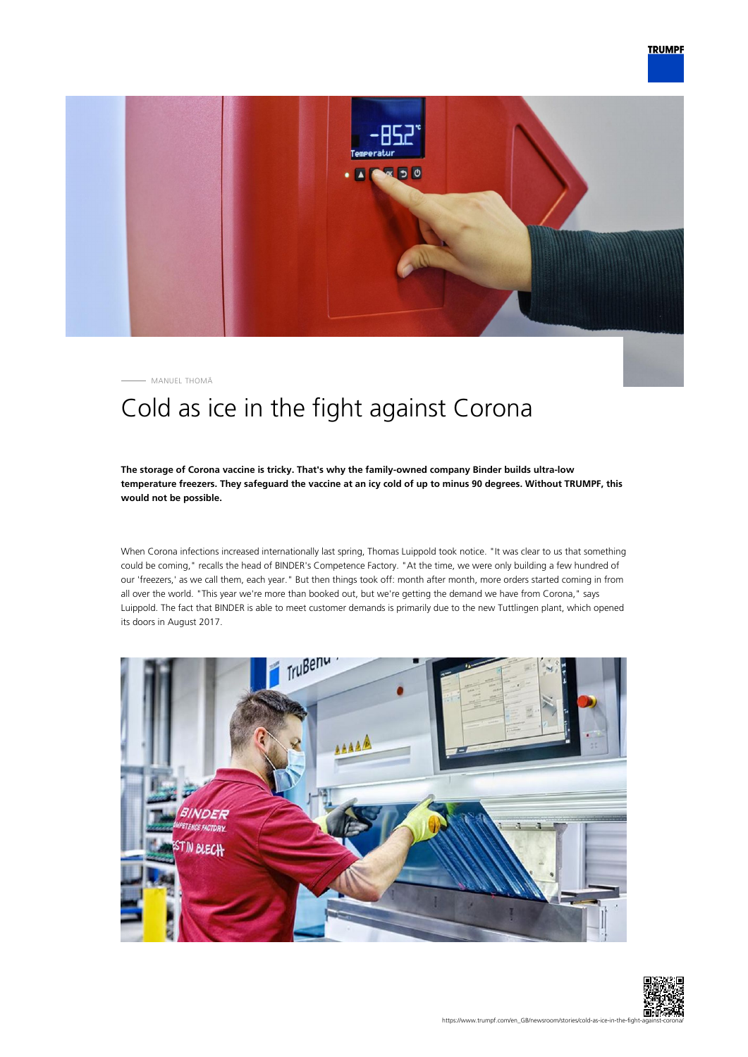

MANUEL THOMÄ

# Cold as ice in the fight against Corona

### **The storage of Corona vaccine is tricky. That's why the family-owned company Binder builds ultra-low temperature freezers. They safeguard the vaccine at an icy cold of up to minus 90 degrees. Without TRUMPF, this would not be possible.**

When Corona infections increased internationally last spring, Thomas Luippold took notice. "It was clear to us that something could be coming," recalls the head of BINDER's Competence Factory. "At the time, we were only building a few hundred of our 'freezers,' as we call them, each year." But then things took off: month after month, more orders started coming in from all over the world. "This year we're more than booked out, but we're getting the demand we have from Corona," says Luippold. The fact that BINDER is able to meet customer demands is primarily due to the new Tuttlingen plant, which opened its doors in August 2017.



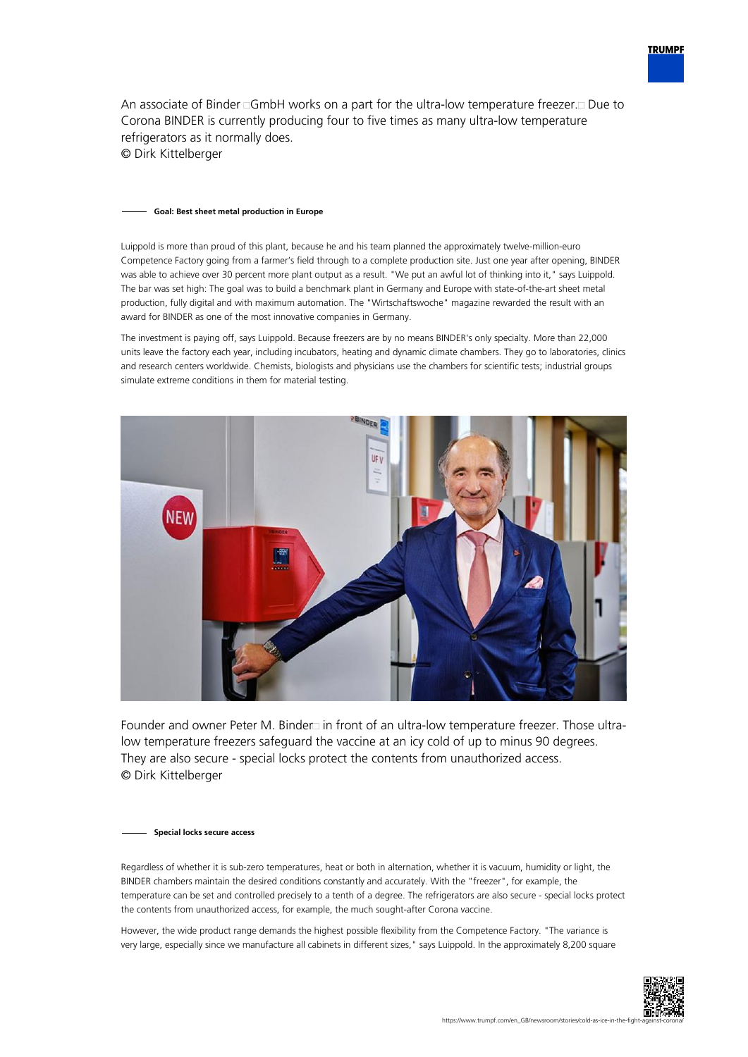

An associate of Binder  $\Box$ GmbH works on a part for the ultra-low temperature freezer. $\Box$  Due to Corona BINDER is currently producing four to five times as many ultra-low temperature refrigerators as it normally does. © Dirk Kittelberger

#### **Goal: Best sheet metal production in Europe**

Luippold is more than proud of this plant, because he and his team planned the approximately twelve-million-euro Competence Factory going from a farmer's field through to a complete production site. Just one year after opening, BINDER was able to achieve over 30 percent more plant output as a result. "We put an awful lot of thinking into it," says Luippold. The bar was set high: The goal was to build a benchmark plant in Germany and Europe with state-of-the-art sheet metal production, fully digital and with maximum automation. The "Wirtschaftswoche" magazine rewarded the result with an award for BINDER as one of the most innovative companies in Germany.

The investment is paying off, says Luippold. Because freezers are by no means BINDER's only specialty. More than 22,000 units leave the factory each year, including incubators, heating and dynamic climate chambers. They go to laboratories, clinics and research centers worldwide. Chemists, biologists and physicians use the chambers for scientific tests; industrial groups simulate extreme conditions in them for material testing.



Founder and owner Peter M. Binder in front of an ultra-low temperature freezer. Those ultralow temperature freezers safeguard the vaccine at an icy cold of up to minus 90 degrees. They are also secure - special locks protect the contents from unauthorized access. © Dirk Kittelberger

#### **Special locks secure access**

Regardless of whether it is sub-zero temperatures, heat or both in alternation, whether it is vacuum, humidity or light, the BINDER chambers maintain the desired conditions constantly and accurately. With the "freezer", for example, the temperature can be set and controlled precisely to a tenth of a degree. The refrigerators are also secure - special locks protect the contents from unauthorized access, for example, the much sought-after Corona vaccine.

However, the wide product range demands the highest possible flexibility from the Competence Factory. "The variance is very large, especially since we manufacture all cabinets in different sizes," says Luippold. In the approximately 8,200 square

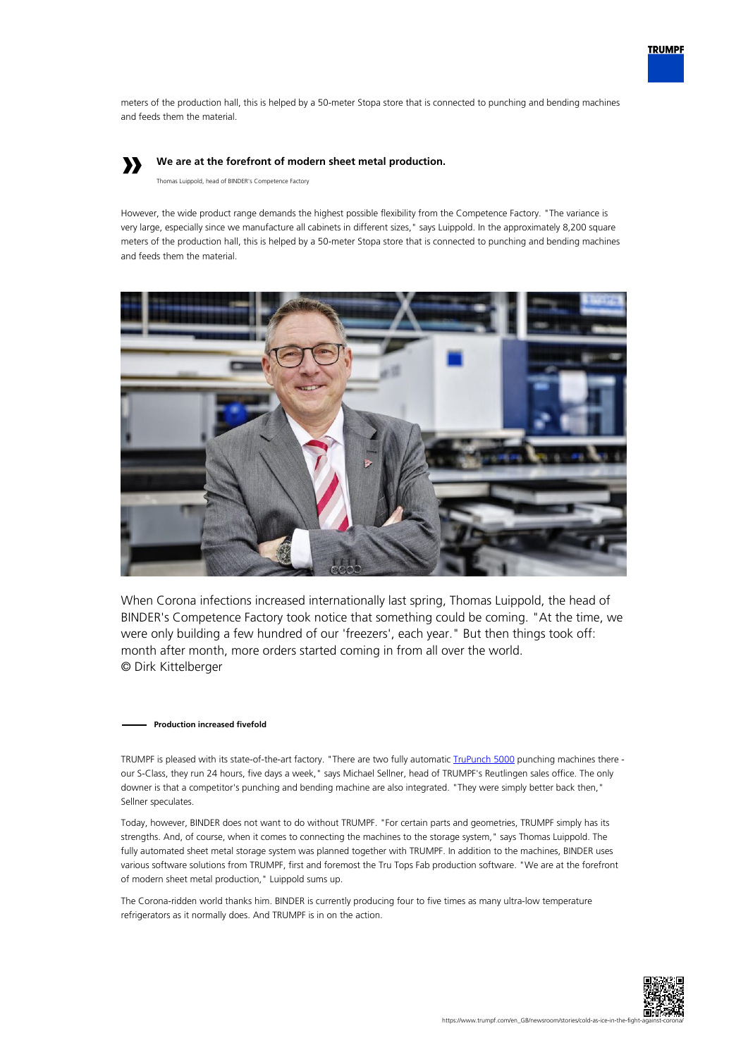

meters of the production hall, this is helped by a 50-meter Stopa store that is connected to punching and bending machines and feeds them the material.

# **»**

## **We are at the forefront of modern sheet metal production.**

Thomas Luippold, head of BINDER's Competence Factory

However, the wide product range demands the highest possible flexibility from the Competence Factory. "The variance is very large, especially since we manufacture all cabinets in different sizes," says Luippold. In the approximately 8,200 square meters of the production hall, this is helped by a 50-meter Stopa store that is connected to punching and bending machines and feeds them the material.



When Corona infections increased internationally last spring, Thomas Luippold, the head of BINDER's Competence Factory took notice that something could be coming. "At the time, we were only building a few hundred of our 'freezers', each year." But then things took off: month after month, more orders started coming in from all over the world. © Dirk Kittelberger

#### **Production increased fivefold**

TRUMPF is pleased with its state-of-the-art factory. "There are two fully automatic *TruPunch 5000* punching machines there our S-Class, they run 24 hours, five days a week," says Michael Sellner, head of TRUMPF's Reutlingen sales office. The only downer is that a competitor's punching and bending machine are also integrated. "They were simply better back then," Sellner speculates.

Today, however, BINDER does not want to do without TRUMPF. "For certain parts and geometries, TRUMPF simply has its strengths. And, of course, when it comes to connecting the machines to the storage system," says Thomas Luippold. The fully automated sheet metal storage system was planned together with TRUMPF. In addition to the machines, BINDER uses various software solutions from TRUMPF, first and foremost the Tru Tops Fab production software. "We are at the forefront of modern sheet metal production," Luippold sums up.

The Corona-ridden world thanks him. BINDER is currently producing four to five times as many ultra-low temperature refrigerators as it normally does. And TRUMPF is in on the action.